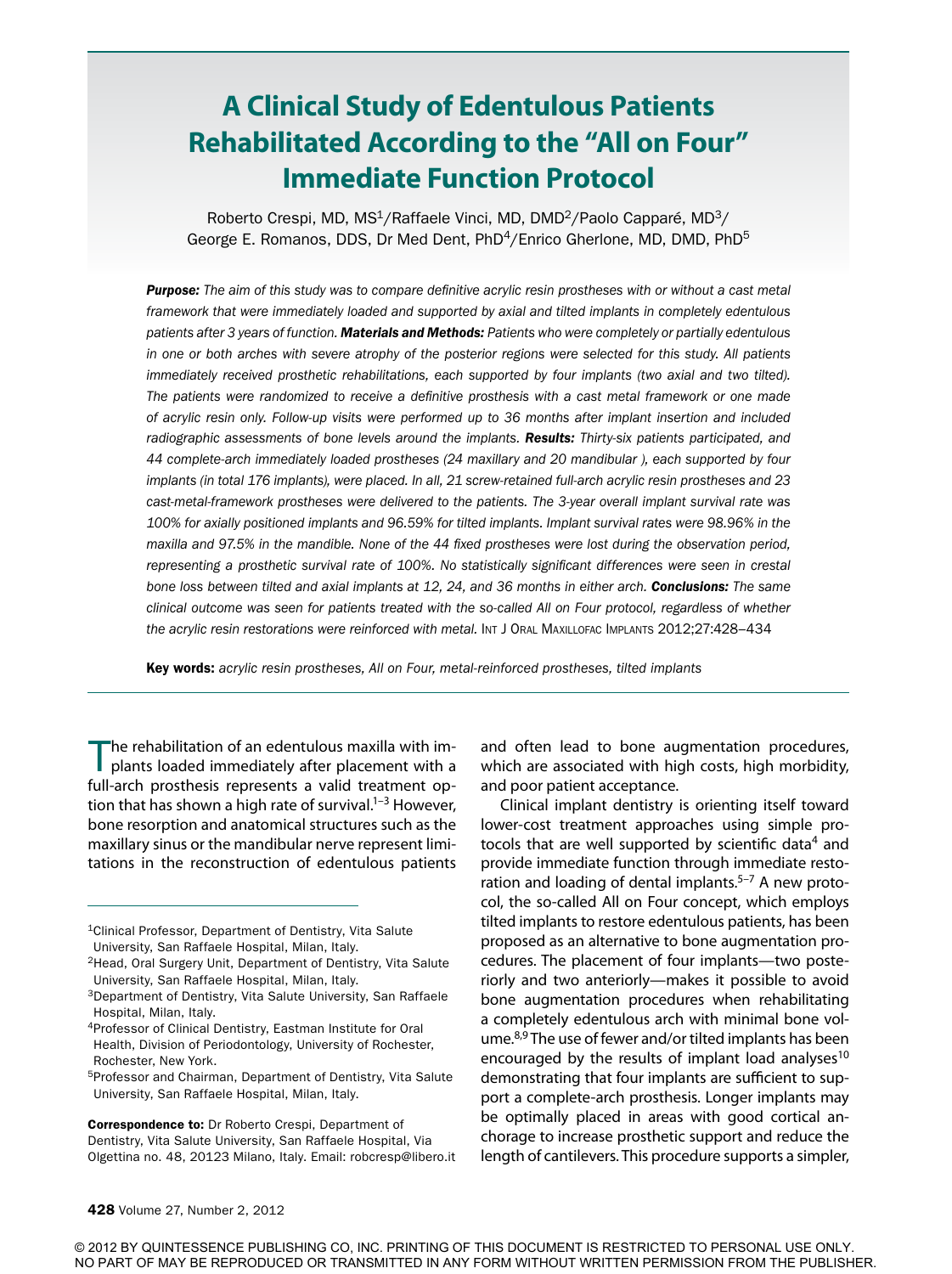# **A Clinical Study of Edentulous Patients Rehabilitated According to the "All on Four" Immediate Function Protocol**

Roberto Crespi, MD, MS<sup>1</sup>/Raffaele Vinci, MD, DMD<sup>2</sup>/Paolo Capparé, MD<sup>3</sup>/ George E. Romanos, DDS, Dr Med Dent, PhD<sup>4</sup>/Enrico Gherlone, MD, DMD, PhD<sup>5</sup>

*Purpose: The aim of this study was to compare definitive acrylic resin prostheses with or without a cast metal framework that were immediately loaded and supported by axial and tilted implants in completely edentulous patients after 3 years of function. Materials and Methods: Patients who were completely or partially edentulous in one or both arches with severe atrophy of the posterior regions were selected for this study. All patients immediately received prosthetic rehabilitations, each supported by four implants (two axial and two tilted). The patients were randomized to receive a definitive prosthesis with a cast metal framework or one made of acrylic resin only. Follow-up visits were performed up to 36 months after implant insertion and included*  radiographic assessments of bone levels around the implants. Results: Thirty-six patients participated, and *44 complete-arch immediately loaded prostheses (24 maxillary and 20 mandibular ), each supported by four implants (in total 176 implants), were placed. In all, 21 screw-retained full-arch acrylic resin prostheses and 23 cast-metal-framework prostheses were delivered to the patients. The 3-year overall implant survival rate was 100% for axially positioned implants and 96.59% for tilted implants. Implant survival rates were 98.96% in the maxilla and 97.5% in the mandible. None of the 44 fixed prostheses were lost during the observation period, representing a prosthetic survival rate of 100%. No statistically significant differences were seen in crestal bone loss between tilted and axial implants at 12, 24, and 36 months in either arch. Conclusions: The same clinical outcome was seen for patients treated with the so-called All on Four protocol, regardless of whether*  the acrylic resin restorations were reinforced with metal. INT J ORAL MAXILLOFAC IMPLANTS 2012;27:428-434

Key words: *acrylic resin prostheses, All on Four, metal-reinforced prostheses, tilted implants*

The rehabilitation of an edentulous maxilla with im-<br>plants loaded immediately after placement with a full-arch prosthesis represents a valid treatment option that has shown a high rate of survival.<sup>1–3</sup> However, bone resorption and anatomical structures such as the maxillary sinus or the mandibular nerve represent limitations in the reconstruction of edentulous patients

5Professor and Chairman, Department of Dentistry, Vita Salute University, San Raffaele Hospital, Milan, Italy.

Correspondence to: Dr Roberto Crespi, Department of Dentistry, Vita Salute University, San Raffaele Hospital, Via Olgettina no. 48, 20123 Milano, Italy. Email: robcresp@libero.it and often lead to bone augmentation procedures, which are associated with high costs, high morbidity, and poor patient acceptance.

Clinical implant dentistry is orienting itself toward lower-cost treatment approaches using simple protocols that are well supported by scientific data<sup>4</sup> and provide immediate function through immediate restoration and loading of dental implants. $5-7$  A new protocol, the so-called All on Four concept, which employs tilted implants to restore edentulous patients, has been proposed as an alternative to bone augmentation procedures. The placement of four implants—two posteriorly and two anteriorly—makes it possible to avoid bone augmentation procedures when rehabilitating a completely edentulous arch with minimal bone volume.<sup>8,9</sup> The use of fewer and/or tilted implants has been encouraged by the results of implant load analyses<sup>10</sup> demonstrating that four implants are sufficient to support a complete-arch prosthesis. Longer implants may be optimally placed in areas with good cortical anchorage to increase prosthetic support and reduce the length of cantilevers. This procedure supports a simpler,

© 2012 BY QUINTESSENCE PUBLISHING CO, INC. PRINTING OF THIS DOCUMENT IS RESTRICTED TO PERSONAL USE ONLY. NO PART OF MAY BE REPRODUCED OR TRANSMITTED IN ANY FORM WITHOUT WRITTEN PERMISSION FROM THE PUBLISHER.

<sup>1</sup>Clinical Professor, Department of Dentistry, Vita Salute University, San Raffaele Hospital, Milan, Italy.

<sup>2</sup>Head, Oral Surgery Unit, Department of Dentistry, Vita Salute University, San Raffaele Hospital, Milan, Italy.

<sup>3</sup>Department of Dentistry, Vita Salute University, San Raffaele Hospital, Milan, Italy.

<sup>4</sup>Professor of Clinical Dentistry, Eastman Institute for Oral Health, Division of Periodontology, University of Rochester, Rochester, New York.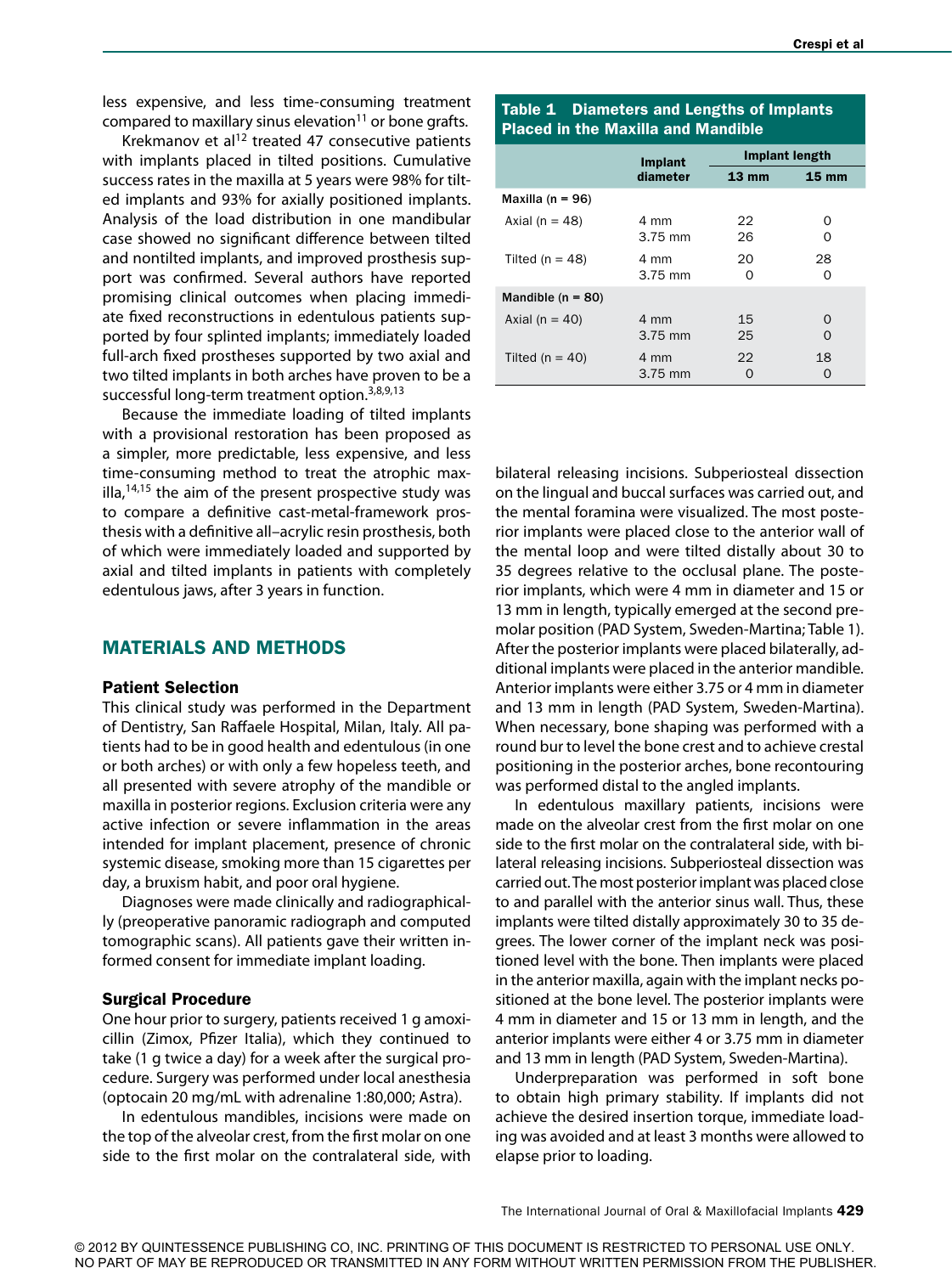less expensive, and less time-consuming treatment compared to maxillary sinus elevation<sup>11</sup> or bone grafts.

Krekmanov et al $12$  treated 47 consecutive patients with implants placed in tilted positions. Cumulative success rates in the maxilla at 5 years were 98% for tilted implants and 93% for axially positioned implants. Analysis of the load distribution in one mandibular case showed no significant difference between tilted and nontilted implants, and improved prosthesis support was confirmed. Several authors have reported promising clinical outcomes when placing immediate fixed reconstructions in edentulous patients supported by four splinted implants; immediately loaded full-arch fixed prostheses supported by two axial and two tilted implants in both arches have proven to be a successful long-term treatment option.<sup>3,8,9,13</sup>

Because the immediate loading of tilted implants with a provisional restoration has been proposed as a simpler, more predictable, less expensive, and less time-consuming method to treat the atrophic maxilla, $14,15$  the aim of the present prospective study was to compare a definitive cast-metal-framework prosthesis with a definitive all–acrylic resin prosthesis, both of which were immediately loaded and supported by axial and tilted implants in patients with completely edentulous jaws, after 3 years in function.

## MATERIALS AND METHODS

#### Patient Selection

This clinical study was performed in the Department of Dentistry, San Raffaele Hospital, Milan, Italy. All patients had to be in good health and edentulous (in one or both arches) or with only a few hopeless teeth, and all presented with severe atrophy of the mandible or maxilla in posterior regions. Exclusion criteria were any active infection or severe inflammation in the areas intended for implant placement, presence of chronic systemic disease, smoking more than 15 cigarettes per day, a bruxism habit, and poor oral hygiene.

Diagnoses were made clinically and radiographically (preoperative panoramic radiograph and computed tomographic scans). All patients gave their written informed consent for immediate implant loading.

#### Surgical Procedure

One hour prior to surgery, patients received 1 g amoxicillin (Zimox, Pfizer Italia), which they continued to take (1 g twice a day) for a week after the surgical procedure. Surgery was performed under local anesthesia (optocain 20 mg/mL with adrenaline 1:80,000; Astra).

In edentulous mandibles, incisions were made on the top of the alveolar crest, from the first molar on one side to the first molar on the contralateral side, with

## Table 1 Diameters and Lengths of Implants Placed in the Maxilla and Mandible

|                     | Implant           | Implant length  |                 |
|---------------------|-------------------|-----------------|-----------------|
|                     | diameter          | $13 \text{ mm}$ | $15 \text{ mm}$ |
| Maxilla (n = $96$ ) |                   |                 |                 |
| Axial ( $n = 48$ )  | 4 mm<br>3.75 mm   | 22<br>26        | Ω<br>Ω          |
| Tilted ( $n = 48$ ) | 4 mm<br>3.75 mm   | 20<br>Ω         | 28<br>Ω         |
| Mandible $(n = 80)$ |                   |                 |                 |
| Axial ( $n = 40$ )  | 4 mm<br>$3.75$ mm | 15<br>25        | $\Omega$<br>∩   |
| Tilted ( $n = 40$ ) | 4 mm<br>$3.75$ mm | 22              | 18              |

bilateral releasing incisions. Subperiosteal dissection on the lingual and buccal surfaces was carried out, and the mental foramina were visualized. The most posterior implants were placed close to the anterior wall of the mental loop and were tilted distally about 30 to 35 degrees relative to the occlusal plane. The posterior implants, which were 4 mm in diameter and 15 or 13 mm in length, typically emerged at the second premolar position (PAD System, Sweden-Martina; Table 1). After the posterior implants were placed bilaterally, additional implants were placed in the anterior mandible. Anterior implants were either 3.75 or 4 mm in diameter and 13 mm in length (PAD System, Sweden-Martina). When necessary, bone shaping was performed with a round bur to level the bone crest and to achieve crestal positioning in the posterior arches, bone recontouring was performed distal to the angled implants.

In edentulous maxillary patients, incisions were made on the alveolar crest from the first molar on one side to the first molar on the contralateral side, with bilateral releasing incisions. Subperiosteal dissection was carried out. The most posterior implant was placed close to and parallel with the anterior sinus wall. Thus, these implants were tilted distally approximately 30 to 35 degrees. The lower corner of the implant neck was positioned level with the bone. Then implants were placed in the anterior maxilla, again with the implant necks positioned at the bone level. The posterior implants were 4 mm in diameter and 15 or 13 mm in length, and the anterior implants were either 4 or 3.75 mm in diameter and 13 mm in length (PAD System, Sweden-Martina).

Underpreparation was performed in soft bone to obtain high primary stability. If implants did not achieve the desired insertion torque, immediate loading was avoided and at least 3 months were allowed to elapse prior to loading.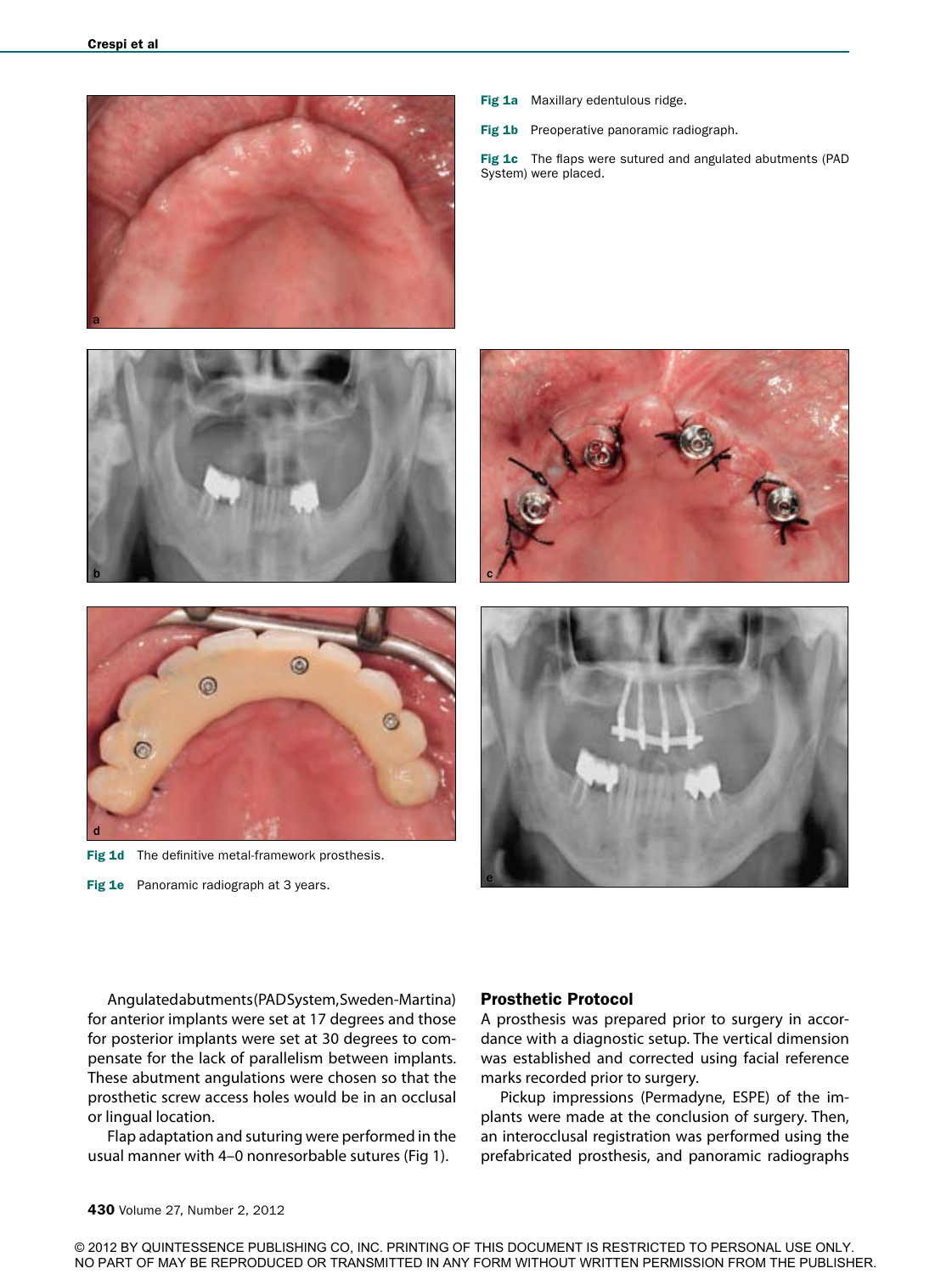

- Fig 1a Maxillary edentulous ridge.
- Fig 1b Preoperative panoramic radiograph.

Fig 1c The flaps were sutured and angulated abutments (PAD System) were placed.



Fig 1d The definitive metal-framework prosthesis.

Fig 1e Panoramic radiograph at 3 years.



Angulated abutments (PAD System, Sweden-Martina) for anterior implants were set at 17 degrees and those for posterior implants were set at 30 degrees to compensate for the lack of parallelism between implants. These abutment angulations were chosen so that the prosthetic screw access holes would be in an occlusal or lingual location.

Flap adaptation and suturing were performed in the usual manner with 4–0 nonresorbable sutures (Fig 1).

#### Prosthetic Protocol

A prosthesis was prepared prior to surgery in accordance with a diagnostic setup. The vertical dimension was established and corrected using facial reference marks recorded prior to surgery.

Pickup impressions (Permadyne, ESPE) of the implants were made at the conclusion of surgery. Then, an interocclusal registration was performed using the prefabricated prosthesis, and panoramic radiographs

© 2012 BY QUINTESSENCE PUBLISHING CO, INC. PRINTING OF THIS DOCUMENT IS RESTRICTED TO PERSONAL USE ONLY. NO PART OF MAY BE REPRODUCED OR TRANSMITTED IN ANY FORM WITHOUT WRITTEN PERMISSION FROM THE PUBLISHER.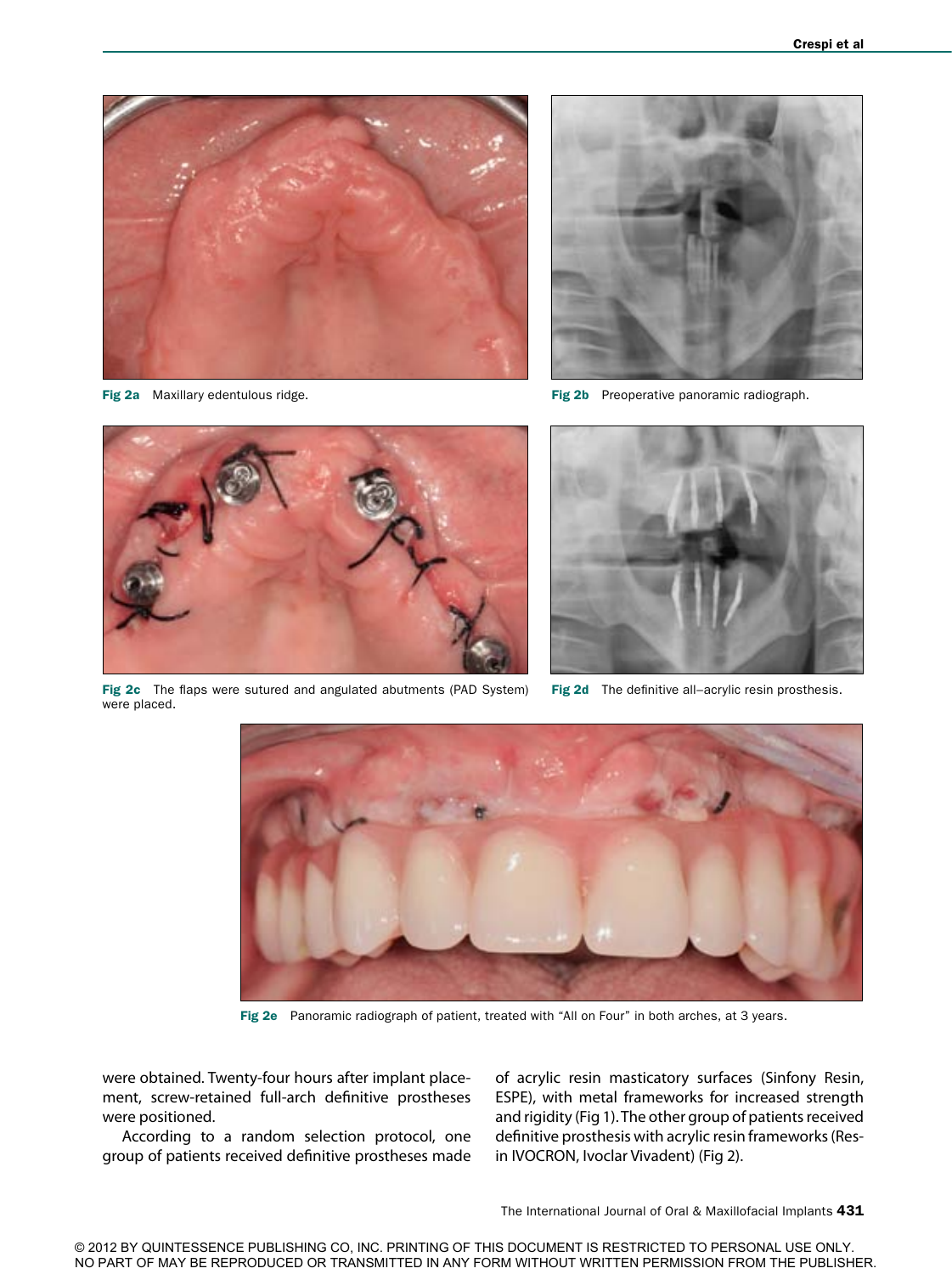

Fig 2a Maxillary edentulous ridge.



Fig 2b Preoperative panoramic radiograph.



Fig 2c The flaps were sutured and angulated abutments (PAD System) were placed.



Fig 2d The definitive all–acrylic resin prosthesis.



Fig 2e Panoramic radiograph of patient, treated with "All on Four" in both arches, at 3 years.

were obtained. Twenty-four hours after implant placement, screw-retained full-arch definitive prostheses were positioned.

According to a random selection protocol, one group of patients received definitive prostheses made of acrylic resin masticatory surfaces (Sinfony Resin, ESPE), with metal frameworks for increased strength and rigidity (Fig 1). The other group of patients received definitive prosthesis with acrylic resin frameworks (Resin IVOCRON, Ivoclar Vivadent) (Fig 2).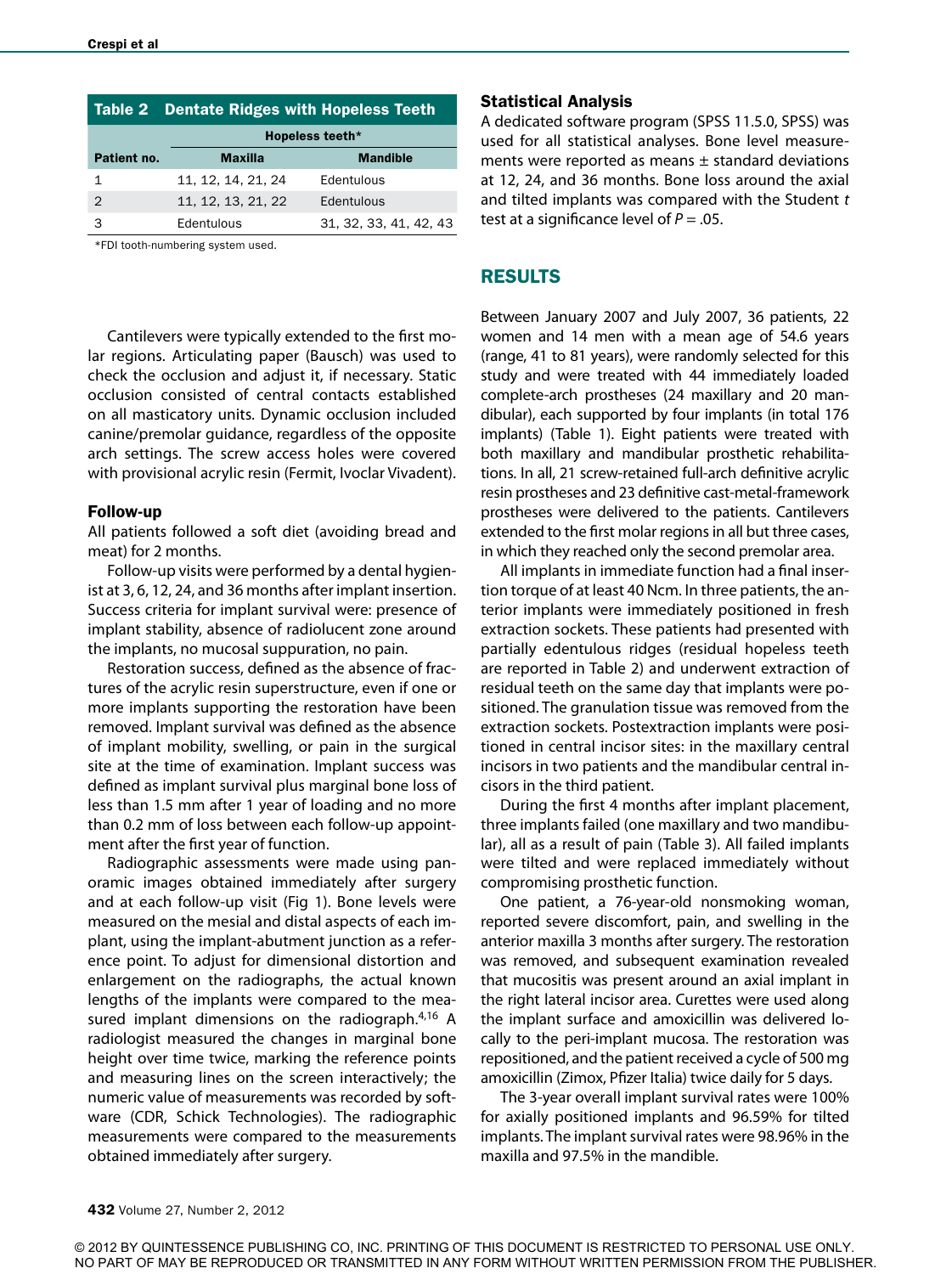|               | <b>Table 2 Dentate Ridges with Hopeless Teeth</b> |                        |  |  |
|---------------|---------------------------------------------------|------------------------|--|--|
|               | Hopeless teeth*                                   |                        |  |  |
| Patient no.   | <b>Maxilla</b>                                    | <b>Mandible</b>        |  |  |
| 1             | 11, 12, 14, 21, 24                                | Edentulous             |  |  |
| $\mathcal{P}$ | 11, 12, 13, 21, 22                                | Edentulous             |  |  |
| З             | Edentulous                                        | 31, 32, 33, 41, 42, 43 |  |  |

\*FDI tooth-numbering system used.

Cantilevers were typically extended to the first molar regions. Articulating paper (Bausch) was used to check the occlusion and adjust it, if necessary. Static occlusion consisted of central contacts established on all masticatory units. Dynamic occlusion included canine/premolar guidance, regardless of the opposite arch settings. The screw access holes were covered with provisional acrylic resin (Fermit, Ivoclar Vivadent).

#### Follow-up

All patients followed a soft diet (avoiding bread and meat) for 2 months.

Follow-up visits were performed by a dental hygienist at 3, 6, 12, 24, and 36 months after implant insertion. Success criteria for implant survival were: presence of implant stability, absence of radiolucent zone around the implants, no mucosal suppuration, no pain.

Restoration success, defined as the absence of fractures of the acrylic resin superstructure, even if one or more implants supporting the restoration have been removed. Implant survival was defined as the absence of implant mobility, swelling, or pain in the surgical site at the time of examination. Implant success was defined as implant survival plus marginal bone loss of less than 1.5 mm after 1 year of loading and no more than 0.2 mm of loss between each follow-up appointment after the first year of function.

Radiographic assessments were made using panoramic images obtained immediately after surgery and at each follow-up visit (Fig 1). Bone levels were measured on the mesial and distal aspects of each implant, using the implant-abutment junction as a reference point. To adjust for dimensional distortion and enlargement on the radiographs, the actual known lengths of the implants were compared to the measured implant dimensions on the radiograph. $4,16$  A radiologist measured the changes in marginal bone height over time twice, marking the reference points and measuring lines on the screen interactively; the numeric value of measurements was recorded by software (CDR, Schick Technologies). The radiographic measurements were compared to the measurements obtained immediately after surgery.

#### Statistical Analysis

A dedicated software program (SPSS 11.5.0, SPSS) was used for all statistical analyses. Bone level measurements were reported as means  $\pm$  standard deviations at 12, 24, and 36 months. Bone loss around the axial and tilted implants was compared with the Student *t* test at a significance level of *P* = .05.

# RESULTS

Between January 2007 and July 2007, 36 patients, 22 women and 14 men with a mean age of 54.6 years (range, 41 to 81 years), were randomly selected for this study and were treated with 44 immediately loaded complete-arch prostheses (24 maxillary and 20 mandibular), each supported by four implants (in total 176 implants) (Table 1). Eight patients were treated with both maxillary and mandibular prosthetic rehabilitations. In all, 21 screw-retained full-arch definitive acrylic resin prostheses and 23 definitive cast-metal-framework prostheses were delivered to the patients. Cantilevers extended to the first molar regions in all but three cases, in which they reached only the second premolar area.

All implants in immediate function had a final insertion torque of at least 40 Ncm. In three patients, the anterior implants were immediately positioned in fresh extraction sockets. These patients had presented with partially edentulous ridges (residual hopeless teeth are reported in Table 2) and underwent extraction of residual teeth on the same day that implants were positioned. The granulation tissue was removed from the extraction sockets. Postextraction implants were positioned in central incisor sites: in the maxillary central incisors in two patients and the mandibular central incisors in the third patient.

During the first 4 months after implant placement, three implants failed (one maxillary and two mandibular), all as a result of pain (Table 3). All failed implants were tilted and were replaced immediately without compromising prosthetic function.

One patient, a 76-year-old nonsmoking woman, reported severe discomfort, pain, and swelling in the anterior maxilla 3 months after surgery. The restoration was removed, and subsequent examination revealed that mucositis was present around an axial implant in the right lateral incisor area. Curettes were used along the implant surface and amoxicillin was delivered locally to the peri-implant mucosa. The restoration was repositioned, and the patient received a cycle of 500 mg amoxicillin (Zimox, Pfizer Italia) twice daily for 5 days.

The 3-year overall implant survival rates were 100% for axially positioned implants and 96.59% for tilted implants. The implant survival rates were 98.96% in the maxilla and 97.5% in the mandible.

© 2012 BY QUINTESSENCE PUBLISHING CO, INC. PRINTING OF THIS DOCUMENT IS RESTRICTED TO PERSONAL USE ONLY. NO PART OF MAY BE REPRODUCED OR TRANSMITTED IN ANY FORM WITHOUT WRITTEN PERMISSION FROM THE PUBLISHER.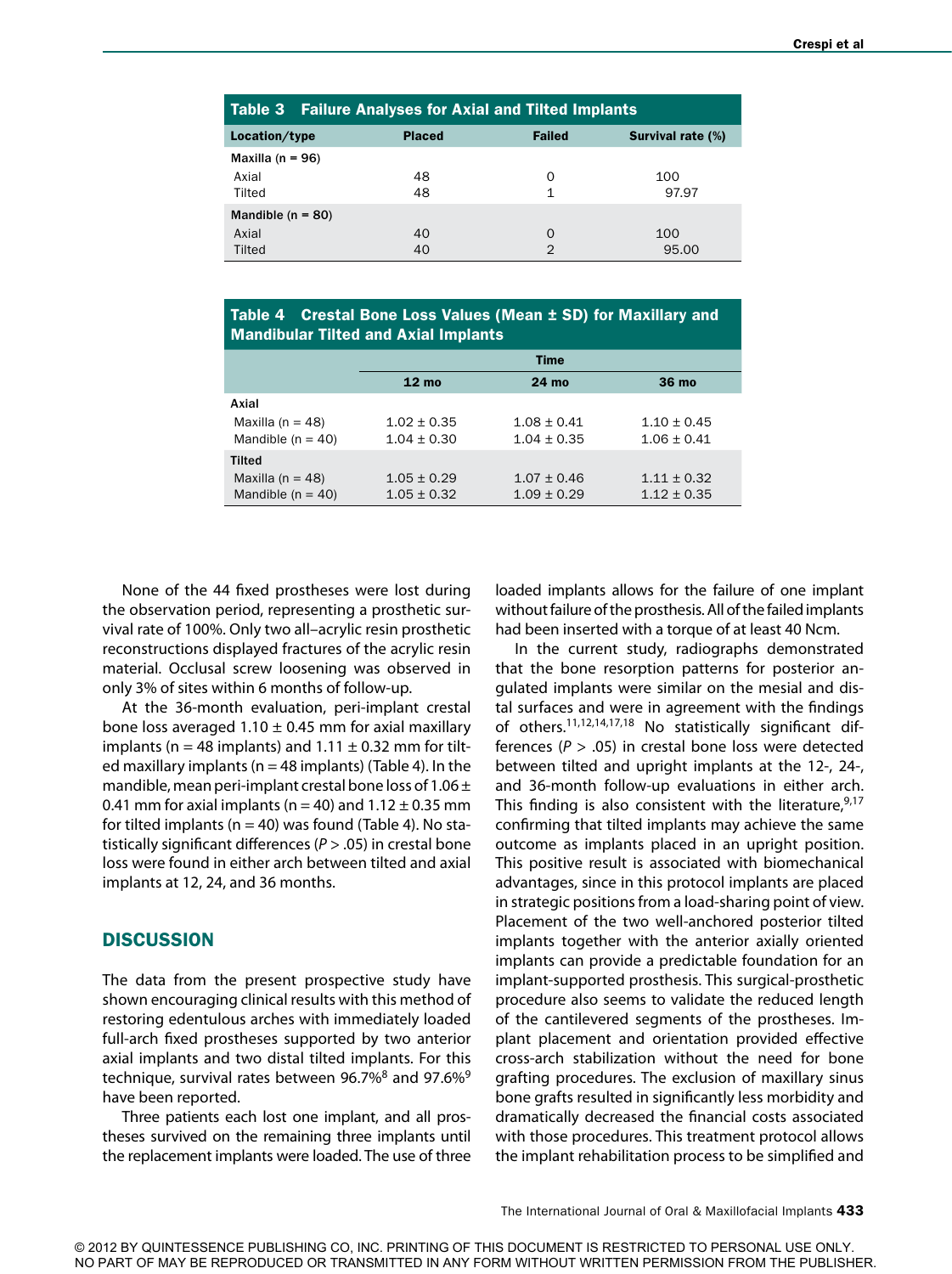|                      | <b>Table 3 Failure Analyses for Axial and Tilted Implants</b> |               |               |                          |  |
|----------------------|---------------------------------------------------------------|---------------|---------------|--------------------------|--|
| Location/type        |                                                               | <b>Placed</b> | <b>Failed</b> | <b>Survival rate (%)</b> |  |
| Maxilla ( $n = 96$ ) |                                                               |               |               |                          |  |
| Axial                |                                                               | 48            | O             | 100                      |  |
| Tilted               |                                                               | 48            |               | 97.97                    |  |
| Mandible $(n = 80)$  |                                                               |               |               |                          |  |
| Axial                |                                                               | 40            | $\Omega$      | 100                      |  |
| Tilted               |                                                               | 40            | 2             | 95.00                    |  |

Table 4 Crestal Bone Loss Values (Mean ± SD) for Maxillary and Mandibular Tilted and Axial Implants

|                                               | Time                               |                                    |                                    |
|-----------------------------------------------|------------------------------------|------------------------------------|------------------------------------|
|                                               | $12 \text{ mo}$                    | 24 mo                              | 36 mo                              |
| Axial                                         |                                    |                                    |                                    |
| Maxilla ( $n = 48$ )<br>Mandible ( $n = 40$ ) | $1.02 \pm 0.35$<br>$1.04 \pm 0.30$ | $1.08 \pm 0.41$<br>$1.04 \pm 0.35$ | $1.10 \pm 0.45$<br>$1.06 \pm 0.41$ |
| Tilted                                        |                                    |                                    |                                    |
| Maxilla ( $n = 48$ )<br>Mandible $(n = 40)$   | $1.05 \pm 0.29$<br>$1.05 \pm 0.32$ | $1.07 \pm 0.46$<br>$1.09 \pm 0.29$ | $1.11 \pm 0.32$<br>$1.12 \pm 0.35$ |

None of the 44 fixed prostheses were lost during the observation period, representing a prosthetic survival rate of 100%. Only two all–acrylic resin prosthetic reconstructions displayed fractures of the acrylic resin material. Occlusal screw loosening was observed in only 3% of sites within 6 months of follow-up.

At the 36-month evaluation, peri-implant crestal bone loss averaged 1.10  $\pm$  0.45 mm for axial maxillary implants (n = 48 implants) and  $1.11 \pm 0.32$  mm for tilted maxillary implants ( $n = 48$  implants) (Table 4). In the mandible, mean peri-implant crestal bone loss of 1.06  $\pm$ 0.41 mm for axial implants (n = 40) and  $1.12 \pm 0.35$  mm for tilted implants ( $n = 40$ ) was found (Table 4). No statistically significant differences (*P* > .05) in crestal bone loss were found in either arch between tilted and axial implants at 12, 24, and 36 months.

## **DISCUSSION**

The data from the present prospective study have shown encouraging clinical results with this method of restoring edentulous arches with immediately loaded full-arch fixed prostheses supported by two anterior axial implants and two distal tilted implants. For this technique, survival rates between 96.7% $8$  and 97.6% $9$ have been reported.

Three patients each lost one implant, and all prostheses survived on the remaining three implants until the replacement implants were loaded. The use of three loaded implants allows for the failure of one implant without failure of the prosthesis. All of the failed implants had been inserted with a torque of at least 40 Ncm.

In the current study, radiographs demonstrated that the bone resorption patterns for posterior angulated implants were similar on the mesial and distal surfaces and were in agreement with the findings of others.11,12,14,17,18 No statistically significant differences ( $P > .05$ ) in crestal bone loss were detected between tilted and upright implants at the 12-, 24-, and 36-month follow-up evaluations in either arch. This finding is also consistent with the literature,  $9,17$ confirming that tilted implants may achieve the same outcome as implants placed in an upright position. This positive result is associated with biomechanical advantages, since in this protocol implants are placed in strategic positions from a load-sharing point of view. Placement of the two well-anchored posterior tilted implants together with the anterior axially oriented implants can provide a predictable foundation for an implant-supported prosthesis. This surgical-prosthetic procedure also seems to validate the reduced length of the cantilevered segments of the prostheses. Implant placement and orientation provided effective cross-arch stabilization without the need for bone grafting procedures. The exclusion of maxillary sinus bone grafts resulted in significantly less morbidity and dramatically decreased the financial costs associated with those procedures. This treatment protocol allows the implant rehabilitation process to be simplified and